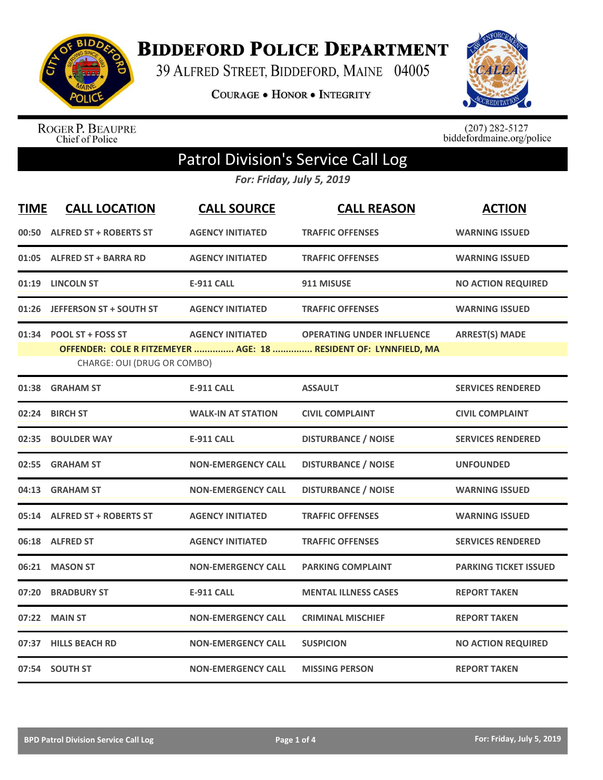

**BIDDEFORD POLICE DEPARTMENT** 

39 ALFRED STREET, BIDDEFORD, MAINE 04005

COURAGE . HONOR . INTEGRITY



ROGER P. BEAUPRE<br>Chief of Police

 $(207)$  282-5127<br>biddefordmaine.org/police

## Patrol Division's Service Call Log

*For: Friday, July 5, 2019*

| <b>TIME</b> | <b>CALL LOCATION</b>                                   | <b>CALL SOURCE</b>        | <b>CALL REASON</b>                                                                                   | <b>ACTION</b>                |
|-------------|--------------------------------------------------------|---------------------------|------------------------------------------------------------------------------------------------------|------------------------------|
|             | 00:50 ALFRED ST + ROBERTS ST                           | <b>AGENCY INITIATED</b>   | <b>TRAFFIC OFFENSES</b>                                                                              | <b>WARNING ISSUED</b>        |
|             | 01:05 ALFRED ST + BARRA RD                             | <b>AGENCY INITIATED</b>   | <b>TRAFFIC OFFENSES</b>                                                                              | <b>WARNING ISSUED</b>        |
|             | 01:19 LINCOLN ST                                       | <b>E-911 CALL</b>         | 911 MISUSE                                                                                           | <b>NO ACTION REQUIRED</b>    |
|             | 01:26 JEFFERSON ST + SOUTH ST                          | <b>AGENCY INITIATED</b>   | <b>TRAFFIC OFFENSES</b>                                                                              | <b>WARNING ISSUED</b>        |
|             | 01:34 POOL ST + FOSS ST<br>CHARGE: OUI (DRUG OR COMBO) | <b>AGENCY INITIATED</b>   | <b>OPERATING UNDER INFLUENCE</b><br>OFFENDER: COLE R FITZEMEYER  AGE: 18  RESIDENT OF: LYNNFIELD, MA | <b>ARREST(S) MADE</b>        |
| 01:38       | <b>GRAHAM ST</b>                                       | <b>E-911 CALL</b>         | <b>ASSAULT</b>                                                                                       | <b>SERVICES RENDERED</b>     |
| 02:24       | <b>BIRCH ST</b>                                        | <b>WALK-IN AT STATION</b> | <b>CIVIL COMPLAINT</b>                                                                               | <b>CIVIL COMPLAINT</b>       |
| 02:35       | <b>BOULDER WAY</b>                                     | <b>E-911 CALL</b>         | <b>DISTURBANCE / NOISE</b>                                                                           | <b>SERVICES RENDERED</b>     |
| 02:55       | <b>GRAHAM ST</b>                                       | <b>NON-EMERGENCY CALL</b> | <b>DISTURBANCE / NOISE</b>                                                                           | <b>UNFOUNDED</b>             |
| 04:13       | <b>GRAHAM ST</b>                                       | <b>NON-EMERGENCY CALL</b> | <b>DISTURBANCE / NOISE</b>                                                                           | <b>WARNING ISSUED</b>        |
|             | 05:14 ALFRED ST + ROBERTS ST                           | <b>AGENCY INITIATED</b>   | <b>TRAFFIC OFFENSES</b>                                                                              | <b>WARNING ISSUED</b>        |
|             | 06:18 ALFRED ST                                        | <b>AGENCY INITIATED</b>   | <b>TRAFFIC OFFENSES</b>                                                                              | <b>SERVICES RENDERED</b>     |
| 06:21       | <b>MASON ST</b>                                        | <b>NON-EMERGENCY CALL</b> | <b>PARKING COMPLAINT</b>                                                                             | <b>PARKING TICKET ISSUED</b> |
| 07:20       | <b>BRADBURY ST</b>                                     | <b>E-911 CALL</b>         | <b>MENTAL ILLNESS CASES</b>                                                                          | <b>REPORT TAKEN</b>          |
| 07:22       | <b>MAIN ST</b>                                         | <b>NON-EMERGENCY CALL</b> | <b>CRIMINAL MISCHIEF</b>                                                                             | <b>REPORT TAKEN</b>          |
| 07:37       | <b>HILLS BEACH RD</b>                                  | <b>NON-EMERGENCY CALL</b> | <b>SUSPICION</b>                                                                                     | <b>NO ACTION REQUIRED</b>    |
|             | 07:54 SOUTH ST                                         | <b>NON-EMERGENCY CALL</b> | <b>MISSING PERSON</b>                                                                                | <b>REPORT TAKEN</b>          |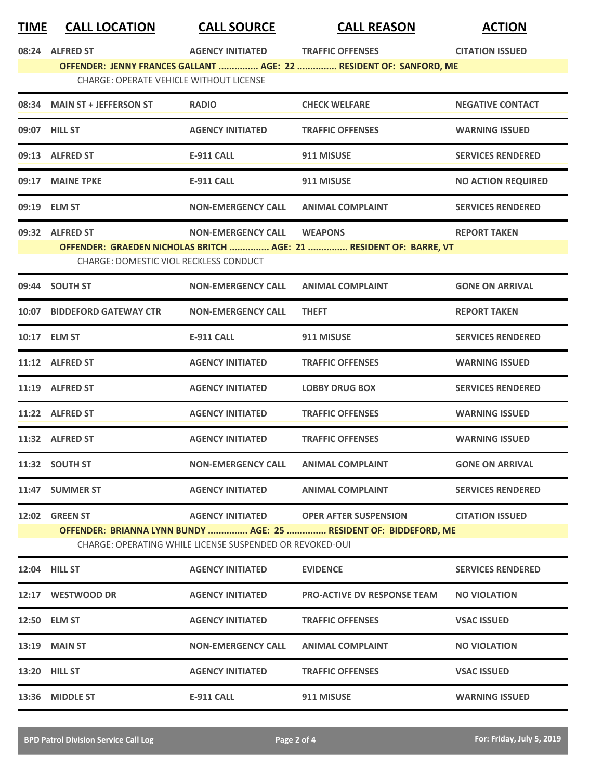| <b>TIME</b> | <b>CALL LOCATION</b> |  |
|-------------|----------------------|--|
|             |                      |  |

**TIME CALL LOCATION CALL SOURCE CALL REASON ACTION**

|       | 08:24 ALFRED ST                                                                                                                                                                                                            | <b>AGENCY INITIATED</b>   | <b>TRAFFIC OFFENSES</b>                                                              | <b>CITATION ISSUED</b>    |  |
|-------|----------------------------------------------------------------------------------------------------------------------------------------------------------------------------------------------------------------------------|---------------------------|--------------------------------------------------------------------------------------|---------------------------|--|
|       | OFFENDER: JENNY FRANCES GALLANT  AGE: 22  RESIDENT OF: SANFORD, ME<br><b>CHARGE: OPERATE VEHICLE WITHOUT LICENSE</b>                                                                                                       |                           |                                                                                      |                           |  |
|       | 08:34 MAIN ST + JEFFERSON ST                                                                                                                                                                                               | <b>RADIO</b>              | <b>CHECK WELFARE</b>                                                                 | <b>NEGATIVE CONTACT</b>   |  |
|       | 09:07 HILL ST                                                                                                                                                                                                              | <b>AGENCY INITIATED</b>   | <b>TRAFFIC OFFENSES</b>                                                              | <b>WARNING ISSUED</b>     |  |
|       | 09:13 ALFRED ST                                                                                                                                                                                                            | <b>E-911 CALL</b>         | 911 MISUSE                                                                           | <b>SERVICES RENDERED</b>  |  |
|       | 09:17 MAINE TPKE                                                                                                                                                                                                           | <b>E-911 CALL</b>         | 911 MISUSE                                                                           | <b>NO ACTION REQUIRED</b> |  |
|       | 09:19 ELM ST                                                                                                                                                                                                               | <b>NON-EMERGENCY CALL</b> | <b>ANIMAL COMPLAINT</b>                                                              | <b>SERVICES RENDERED</b>  |  |
|       | 09:32 ALFRED ST<br><b>CHARGE: DOMESTIC VIOL RECKLESS CONDUCT</b>                                                                                                                                                           | <b>NON-EMERGENCY CALL</b> | <b>WEAPONS</b><br>OFFENDER: GRAEDEN NICHOLAS BRITCH  AGE: 21  RESIDENT OF: BARRE, VT | <b>REPORT TAKEN</b>       |  |
|       | 09:44 SOUTH ST                                                                                                                                                                                                             | <b>NON-EMERGENCY CALL</b> | <b>ANIMAL COMPLAINT</b>                                                              | <b>GONE ON ARRIVAL</b>    |  |
|       | 10:07 BIDDEFORD GATEWAY CTR                                                                                                                                                                                                | <b>NON-EMERGENCY CALL</b> | <b>THEFT</b>                                                                         | <b>REPORT TAKEN</b>       |  |
|       | 10:17 ELM ST                                                                                                                                                                                                               | <b>E-911 CALL</b>         | 911 MISUSE                                                                           | <b>SERVICES RENDERED</b>  |  |
|       | 11:12 ALFRED ST                                                                                                                                                                                                            | <b>AGENCY INITIATED</b>   | <b>TRAFFIC OFFENSES</b>                                                              | <b>WARNING ISSUED</b>     |  |
|       | 11:19 ALFRED ST                                                                                                                                                                                                            | <b>AGENCY INITIATED</b>   | <b>LOBBY DRUG BOX</b>                                                                | <b>SERVICES RENDERED</b>  |  |
|       | 11:22 ALFRED ST                                                                                                                                                                                                            | <b>AGENCY INITIATED</b>   | <b>TRAFFIC OFFENSES</b>                                                              | <b>WARNING ISSUED</b>     |  |
|       | 11:32 ALFRED ST                                                                                                                                                                                                            | <b>AGENCY INITIATED</b>   | <b>TRAFFIC OFFENSES</b>                                                              | <b>WARNING ISSUED</b>     |  |
|       | 11:32 SOUTH ST                                                                                                                                                                                                             | <b>NON-EMERGENCY CALL</b> | <b>ANIMAL COMPLAINT</b>                                                              | <b>GONE ON ARRIVAL</b>    |  |
| 11:47 | <b>SUMMER ST</b>                                                                                                                                                                                                           | <b>AGENCY INITIATED</b>   | <b>ANIMAL COMPLAINT</b>                                                              | <b>SERVICES RENDERED</b>  |  |
|       | <b>12:02 GREEN ST</b><br>AGENCY INITIATED OPER AFTER SUSPENSION<br><b>CITATION ISSUED</b><br>OFFENDER: BRIANNA LYNN BUNDY  AGE: 25  RESIDENT OF: BIDDEFORD, ME<br>CHARGE: OPERATING WHILE LICENSE SUSPENDED OR REVOKED-OUI |                           |                                                                                      |                           |  |
|       | <b>12:04 HILL ST</b>                                                                                                                                                                                                       | <b>AGENCY INITIATED</b>   | <b>EVIDENCE</b>                                                                      | <b>SERVICES RENDERED</b>  |  |
|       | 12:17 WESTWOOD DR                                                                                                                                                                                                          | <b>AGENCY INITIATED</b>   | <b>PRO-ACTIVE DV RESPONSE TEAM</b>                                                   | <b>NO VIOLATION</b>       |  |
|       | 12:50 ELM ST                                                                                                                                                                                                               | <b>AGENCY INITIATED</b>   | <b>TRAFFIC OFFENSES</b>                                                              | <b>VSAC ISSUED</b>        |  |
|       | 13:19 MAIN ST                                                                                                                                                                                                              | <b>NON-EMERGENCY CALL</b> | <b>ANIMAL COMPLAINT</b>                                                              | <b>NO VIOLATION</b>       |  |
|       | <b>13:20 HILL ST</b>                                                                                                                                                                                                       | <b>AGENCY INITIATED</b>   | <b>TRAFFIC OFFENSES</b>                                                              | <b>VSAC ISSUED</b>        |  |
|       | 13:36 MIDDLE ST                                                                                                                                                                                                            | E-911 CALL                | 911 MISUSE                                                                           | <b>WARNING ISSUED</b>     |  |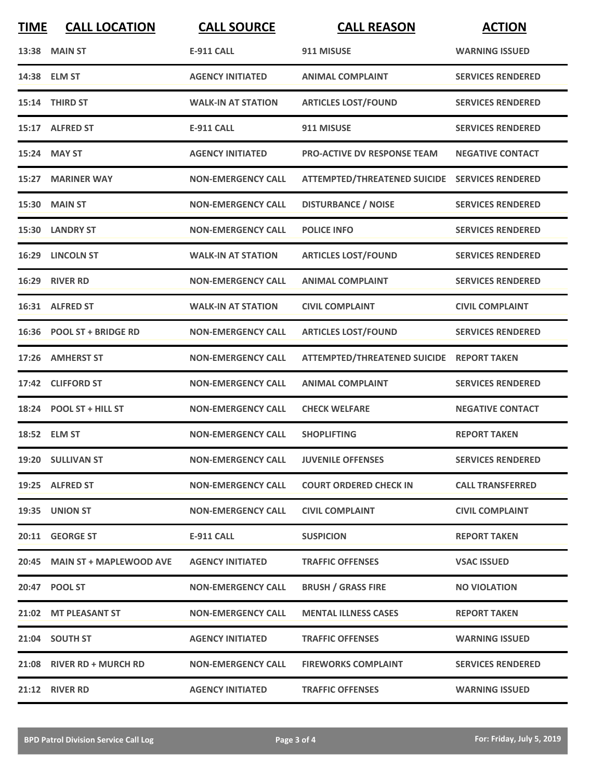| <b>TIME</b> | <b>CALL LOCATION</b>          | <b>CALL SOURCE</b>        | <b>CALL REASON</b>                             | <b>ACTION</b>            |
|-------------|-------------------------------|---------------------------|------------------------------------------------|--------------------------|
|             | <b>13:38 MAIN ST</b>          | <b>E-911 CALL</b>         | 911 MISUSE                                     | <b>WARNING ISSUED</b>    |
|             | 14:38 ELM ST                  | <b>AGENCY INITIATED</b>   | <b>ANIMAL COMPLAINT</b>                        | <b>SERVICES RENDERED</b> |
|             | 15:14 THIRD ST                | <b>WALK-IN AT STATION</b> | <b>ARTICLES LOST/FOUND</b>                     | <b>SERVICES RENDERED</b> |
|             | 15:17 ALFRED ST               | <b>E-911 CALL</b>         | 911 MISUSE                                     | <b>SERVICES RENDERED</b> |
|             | 15:24 MAY ST                  | <b>AGENCY INITIATED</b>   | <b>PRO-ACTIVE DV RESPONSE TEAM</b>             | <b>NEGATIVE CONTACT</b>  |
|             | 15:27 MARINER WAY             | <b>NON-EMERGENCY CALL</b> | ATTEMPTED/THREATENED SUICIDE SERVICES RENDERED |                          |
|             | 15:30 MAIN ST                 | <b>NON-EMERGENCY CALL</b> | <b>DISTURBANCE / NOISE</b>                     | <b>SERVICES RENDERED</b> |
|             | 15:30 LANDRY ST               | <b>NON-EMERGENCY CALL</b> | <b>POLICE INFO</b>                             | <b>SERVICES RENDERED</b> |
|             | 16:29 LINCOLN ST              | <b>WALK-IN AT STATION</b> | <b>ARTICLES LOST/FOUND</b>                     | <b>SERVICES RENDERED</b> |
|             | 16:29 RIVER RD                | <b>NON-EMERGENCY CALL</b> | <b>ANIMAL COMPLAINT</b>                        | <b>SERVICES RENDERED</b> |
|             | 16:31 ALFRED ST               | <b>WALK-IN AT STATION</b> | <b>CIVIL COMPLAINT</b>                         | <b>CIVIL COMPLAINT</b>   |
|             | 16:36 POOL ST + BRIDGE RD     | <b>NON-EMERGENCY CALL</b> | <b>ARTICLES LOST/FOUND</b>                     | <b>SERVICES RENDERED</b> |
| 17:26       | <b>AMHERST ST</b>             | <b>NON-EMERGENCY CALL</b> | ATTEMPTED/THREATENED SUICIDE REPORT TAKEN      |                          |
| 17:42       | <b>CLIFFORD ST</b>            | <b>NON-EMERGENCY CALL</b> | <b>ANIMAL COMPLAINT</b>                        | <b>SERVICES RENDERED</b> |
|             | 18:24 POOL ST + HILL ST       | <b>NON-EMERGENCY CALL</b> | <b>CHECK WELFARE</b>                           | <b>NEGATIVE CONTACT</b>  |
|             | 18:52 ELM ST                  | <b>NON-EMERGENCY CALL</b> | <b>SHOPLIFTING</b>                             | <b>REPORT TAKEN</b>      |
|             | 19:20 SULLIVAN ST             | <b>NON-EMERGENCY CALL</b> | <b>JUVENILE OFFENSES</b>                       | <b>SERVICES RENDERED</b> |
|             | 19:25 ALFRED ST               | <b>NON-EMERGENCY CALL</b> | <b>COURT ORDERED CHECK IN</b>                  | <b>CALL TRANSFERRED</b>  |
|             | 19:35 UNION ST                | <b>NON-EMERGENCY CALL</b> | <b>CIVIL COMPLAINT</b>                         | <b>CIVIL COMPLAINT</b>   |
|             | 20:11 GEORGE ST               | E-911 CALL                | <b>SUSPICION</b>                               | <b>REPORT TAKEN</b>      |
|             | 20:45 MAIN ST + MAPLEWOOD AVE | <b>AGENCY INITIATED</b>   | <b>TRAFFIC OFFENSES</b>                        | <b>VSAC ISSUED</b>       |
|             | 20:47 POOL ST                 | <b>NON-EMERGENCY CALL</b> | <b>BRUSH / GRASS FIRE</b>                      | <b>NO VIOLATION</b>      |
|             | 21:02 MT PLEASANT ST          | <b>NON-EMERGENCY CALL</b> | <b>MENTAL ILLNESS CASES</b>                    | <b>REPORT TAKEN</b>      |
|             | 21:04 SOUTH ST                | <b>AGENCY INITIATED</b>   | <b>TRAFFIC OFFENSES</b>                        | <b>WARNING ISSUED</b>    |
|             | 21:08 RIVER RD + MURCH RD     | <b>NON-EMERGENCY CALL</b> | <b>FIREWORKS COMPLAINT</b>                     | <b>SERVICES RENDERED</b> |
|             | 21:12 RIVER RD                | <b>AGENCY INITIATED</b>   | <b>TRAFFIC OFFENSES</b>                        | <b>WARNING ISSUED</b>    |